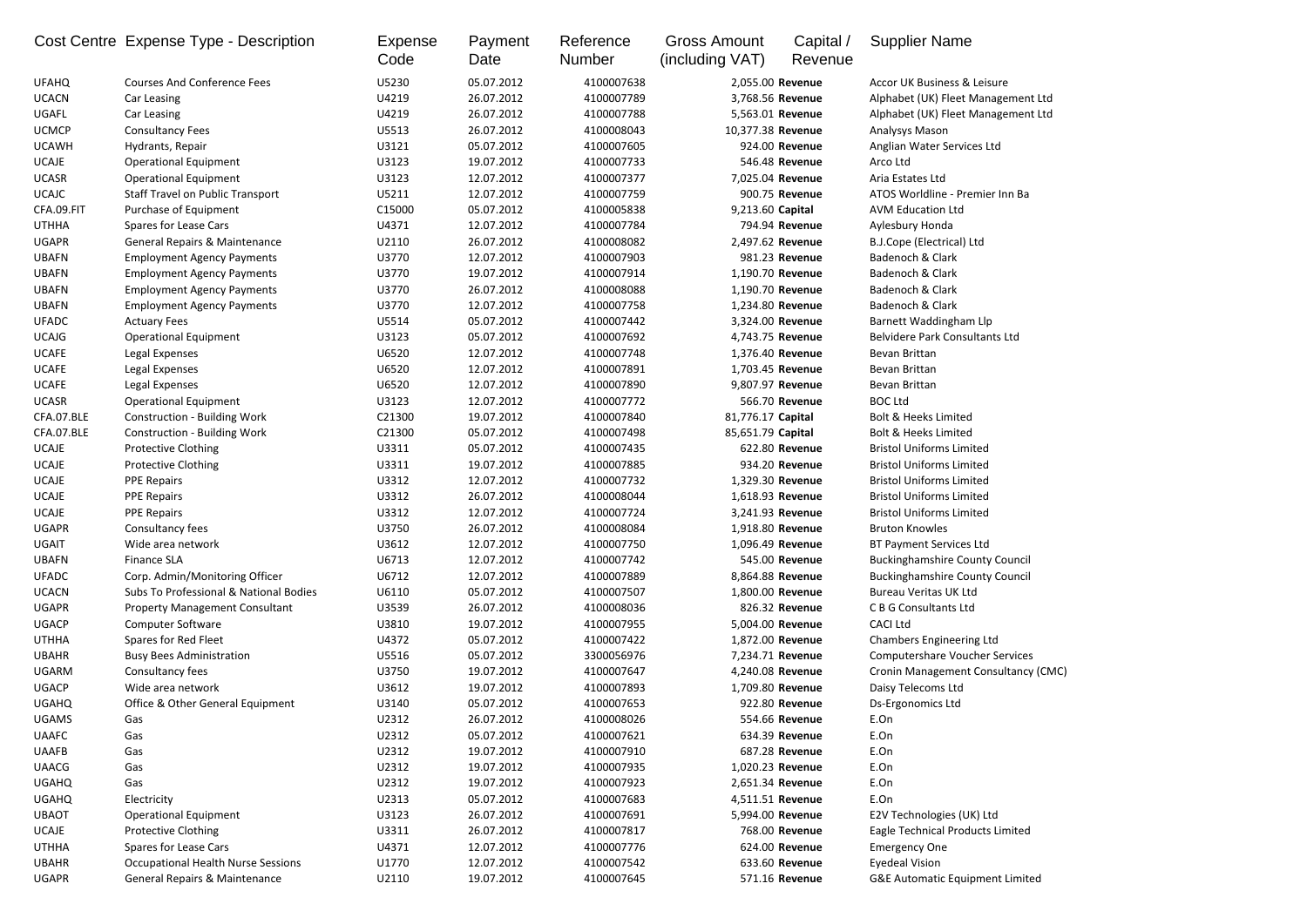|              | Cost Centre Expense Type - Description    | Expense<br>Code | Payment<br>Date | Reference<br><b>Number</b> | <b>Gross Amount</b><br>(including VAT) | Capital /<br>Revenue | <b>Supplier Name</b>                       |
|--------------|-------------------------------------------|-----------------|-----------------|----------------------------|----------------------------------------|----------------------|--------------------------------------------|
| <b>UFAHQ</b> | <b>Courses And Conference Fees</b>        | U5230           | 05.07.2012      | 4100007638                 | 2,055.00 Revenue                       |                      | Accor UK Business & Leisure                |
| <b>UCACN</b> | Car Leasing                               | U4219           | 26.07.2012      | 4100007789                 | 3,768.56 Revenue                       |                      | Alphabet (UK) Fleet Management Ltd         |
| UGAFL        | Car Leasing                               | U4219           | 26.07.2012      | 4100007788                 | 5,563.01 Revenue                       |                      | Alphabet (UK) Fleet Management Ltd         |
| <b>UCMCP</b> | <b>Consultancy Fees</b>                   | U5513           | 26.07.2012      | 4100008043                 | 10,377.38 Revenue                      |                      | Analysys Mason                             |
| <b>UCAWH</b> | Hydrants, Repair                          | U3121           | 05.07.2012      | 4100007605                 |                                        | 924.00 Revenue       | Anglian Water Services Ltd                 |
| <b>UCAJE</b> | <b>Operational Equipment</b>              | U3123           | 19.07.2012      | 4100007733                 |                                        | 546.48 Revenue       | Arco Ltd                                   |
| <b>UCASR</b> | <b>Operational Equipment</b>              | U3123           | 12.07.2012      | 4100007377                 | 7,025.04 Revenue                       |                      | Aria Estates Ltd                           |
| <b>UCAJC</b> | <b>Staff Travel on Public Transport</b>   | U5211           | 12.07.2012      | 4100007759                 |                                        | 900.75 Revenue       | ATOS Worldline - Premier Inn Ba            |
| CFA.09.FIT   | Purchase of Equipment                     | C15000          | 05.07.2012      | 4100005838                 | 9,213.60 Capital                       |                      | <b>AVM Education Ltd</b>                   |
| <b>UTHHA</b> | Spares for Lease Cars                     | U4371           | 12.07.2012      | 4100007784                 |                                        | 794.94 Revenue       | Aylesbury Honda                            |
| <b>UGAPR</b> | <b>General Repairs &amp; Maintenance</b>  | U2110           | 26.07.2012      | 4100008082                 | 2,497.62 Revenue                       |                      | <b>B.J.Cope (Electrical) Ltd</b>           |
| <b>UBAFN</b> | <b>Employment Agency Payments</b>         | U3770           | 12.07.2012      | 4100007903                 |                                        | 981.23 Revenue       | Badenoch & Clark                           |
| <b>UBAFN</b> | <b>Employment Agency Payments</b>         | U3770           | 19.07.2012      | 4100007914                 | 1,190.70 Revenue                       |                      | Badenoch & Clark                           |
| <b>UBAFN</b> | <b>Employment Agency Payments</b>         | U3770           | 26.07.2012      | 4100008088                 | 1,190.70 Revenue                       |                      | Badenoch & Clark                           |
| <b>UBAFN</b> | <b>Employment Agency Payments</b>         | U3770           | 12.07.2012      | 4100007758                 | 1,234.80 Revenue                       |                      | Badenoch & Clark                           |
| <b>UFADC</b> | <b>Actuary Fees</b>                       | U5514           | 05.07.2012      | 4100007442                 | 3,324.00 Revenue                       |                      | Barnett Waddingham Llp                     |
| <b>UCAJG</b> | <b>Operational Equipment</b>              | U3123           | 05.07.2012      | 4100007692                 | 4,743.75 Revenue                       |                      | <b>Belvidere Park Consultants Ltd</b>      |
| <b>UCAFE</b> |                                           | U6520           | 12.07.2012      | 4100007748                 | 1,376.40 Revenue                       |                      | Bevan Brittan                              |
|              | Legal Expenses                            |                 |                 | 4100007891                 |                                        |                      | Bevan Brittan                              |
| <b>UCAFE</b> | Legal Expenses                            | U6520           | 12.07.2012      |                            | 1,703.45 Revenue                       |                      |                                            |
| <b>UCAFE</b> | Legal Expenses                            | U6520           | 12.07.2012      | 4100007890                 | 9,807.97 Revenue                       |                      | Bevan Brittan                              |
| <b>UCASR</b> | <b>Operational Equipment</b>              | U3123           | 12.07.2012      | 4100007772                 |                                        | 566.70 Revenue       | <b>BOC Ltd</b>                             |
| CFA.07.BLE   | <b>Construction - Building Work</b>       | C21300          | 19.07.2012      | 4100007840                 | 81,776.17 Capital                      |                      | <b>Bolt &amp; Heeks Limited</b>            |
| CFA.07.BLE   | <b>Construction - Building Work</b>       | C21300          | 05.07.2012      | 4100007498                 | 85,651.79 Capital                      |                      | <b>Bolt &amp; Heeks Limited</b>            |
| <b>UCAJE</b> | <b>Protective Clothing</b>                | U3311           | 05.07.2012      | 4100007435                 |                                        | 622.80 Revenue       | <b>Bristol Uniforms Limited</b>            |
| <b>UCAJE</b> | <b>Protective Clothing</b>                | U3311           | 19.07.2012      | 4100007885                 |                                        | 934.20 Revenue       | <b>Bristol Uniforms Limited</b>            |
| <b>UCAJE</b> | <b>PPE Repairs</b>                        | U3312           | 12.07.2012      | 4100007732                 | 1,329.30 Revenue                       |                      | <b>Bristol Uniforms Limited</b>            |
| <b>UCAJE</b> | <b>PPE Repairs</b>                        | U3312           | 26.07.2012      | 4100008044                 | 1,618.93 Revenue                       |                      | <b>Bristol Uniforms Limited</b>            |
| <b>UCAJE</b> | <b>PPE Repairs</b>                        | U3312           | 12.07.2012      | 4100007724                 | 3,241.93 Revenue                       |                      | <b>Bristol Uniforms Limited</b>            |
| <b>UGAPR</b> | Consultancy fees                          | U3750           | 26.07.2012      | 4100008084                 | 1,918.80 Revenue                       |                      | <b>Bruton Knowles</b>                      |
| <b>UGAIT</b> | Wide area network                         | U3612           | 12.07.2012      | 4100007750                 | 1,096.49 Revenue                       |                      | <b>BT Payment Services Ltd</b>             |
| <b>UBAFN</b> | <b>Finance SLA</b>                        | U6713           | 12.07.2012      | 4100007742                 |                                        | 545.00 Revenue       | <b>Buckinghamshire County Council</b>      |
| <b>UFADC</b> | Corp. Admin/Monitoring Officer            | U6712           | 12.07.2012      | 4100007889                 | 8,864.88 Revenue                       |                      | <b>Buckinghamshire County Council</b>      |
| <b>UCACN</b> | Subs To Professional & National Bodies    | U6110           | 05.07.2012      | 4100007507                 | 1,800.00 Revenue                       |                      | <b>Bureau Veritas UK Ltd</b>               |
| <b>UGAPR</b> | <b>Property Management Consultant</b>     | U3539           | 26.07.2012      | 4100008036                 |                                        | 826.32 Revenue       | C B G Consultants Ltd                      |
| <b>UGACP</b> | <b>Computer Software</b>                  | U3810           | 19.07.2012      | 4100007955                 | 5,004.00 Revenue                       |                      | <b>CACI Ltd</b>                            |
| <b>UTHHA</b> | Spares for Red Fleet                      | U4372           | 05.07.2012      | 4100007422                 | 1,872.00 Revenue                       |                      | <b>Chambers Engineering Ltd</b>            |
| <b>UBAHR</b> | <b>Busy Bees Administration</b>           | U5516           | 05.07.2012      | 3300056976                 | 7,234.71 Revenue                       |                      | <b>Computershare Voucher Services</b>      |
| <b>UGARM</b> | Consultancy fees                          | U3750           | 19.07.2012      | 4100007647                 | 4,240.08 Revenue                       |                      | Cronin Management Consultancy (CMC)        |
| <b>UGACP</b> | Wide area network                         | U3612           | 19.07.2012      | 4100007893                 | 1,709.80 Revenue                       |                      | Daisy Telecoms Ltd                         |
| <b>UGAHQ</b> | Office & Other General Equipment          | U3140           | 05.07.2012      | 4100007653                 |                                        | 922.80 Revenue       | Ds-Ergonomics Ltd                          |
| <b>UGAMS</b> | Gas                                       | U2312           | 26.07.2012      | 4100008026                 |                                        | 554.66 Revenue       | E.On                                       |
| <b>UAAFC</b> | Gas                                       | U2312           | 05.07.2012      | 4100007621                 |                                        | 634.39 Revenue       | E.On                                       |
| <b>UAAFB</b> | Gas                                       | U2312           | 19.07.2012      | 4100007910                 |                                        | 687.28 Revenue       | E.On                                       |
| <b>UAACG</b> | Gas                                       | U2312           | 19.07.2012      | 4100007935                 | 1,020.23 Revenue                       |                      | E.On                                       |
| <b>UGAHQ</b> | Gas                                       | U2312           | 19.07.2012      | 4100007923                 | 2,651.34 Revenue                       |                      | E.On                                       |
| <b>UGAHQ</b> | Electricity                               | U2313           | 05.07.2012      | 4100007683                 | 4,511.51 Revenue                       |                      | E.On                                       |
| <b>UBAOT</b> | <b>Operational Equipment</b>              | U3123           | 26.07.2012      | 4100007691                 | 5,994.00 Revenue                       |                      | E2V Technologies (UK) Ltd                  |
| <b>UCAJE</b> | <b>Protective Clothing</b>                | U3311           | 26.07.2012      | 4100007817                 |                                        | 768.00 Revenue       | Eagle Technical Products Limited           |
| <b>UTHHA</b> | Spares for Lease Cars                     | U4371           | 12.07.2012      | 4100007776                 |                                        | 624.00 Revenue       | <b>Emergency One</b>                       |
| <b>UBAHR</b> | <b>Occupational Health Nurse Sessions</b> | U1770           | 12.07.2012      | 4100007542                 |                                        | 633.60 Revenue       | <b>Eyedeal Vision</b>                      |
| <b>UGAPR</b> | <b>General Repairs &amp; Maintenance</b>  | U2110           | 19.07.2012      | 4100007645                 |                                        | 571.16 Revenue       | <b>G&amp;E Automatic Equipment Limited</b> |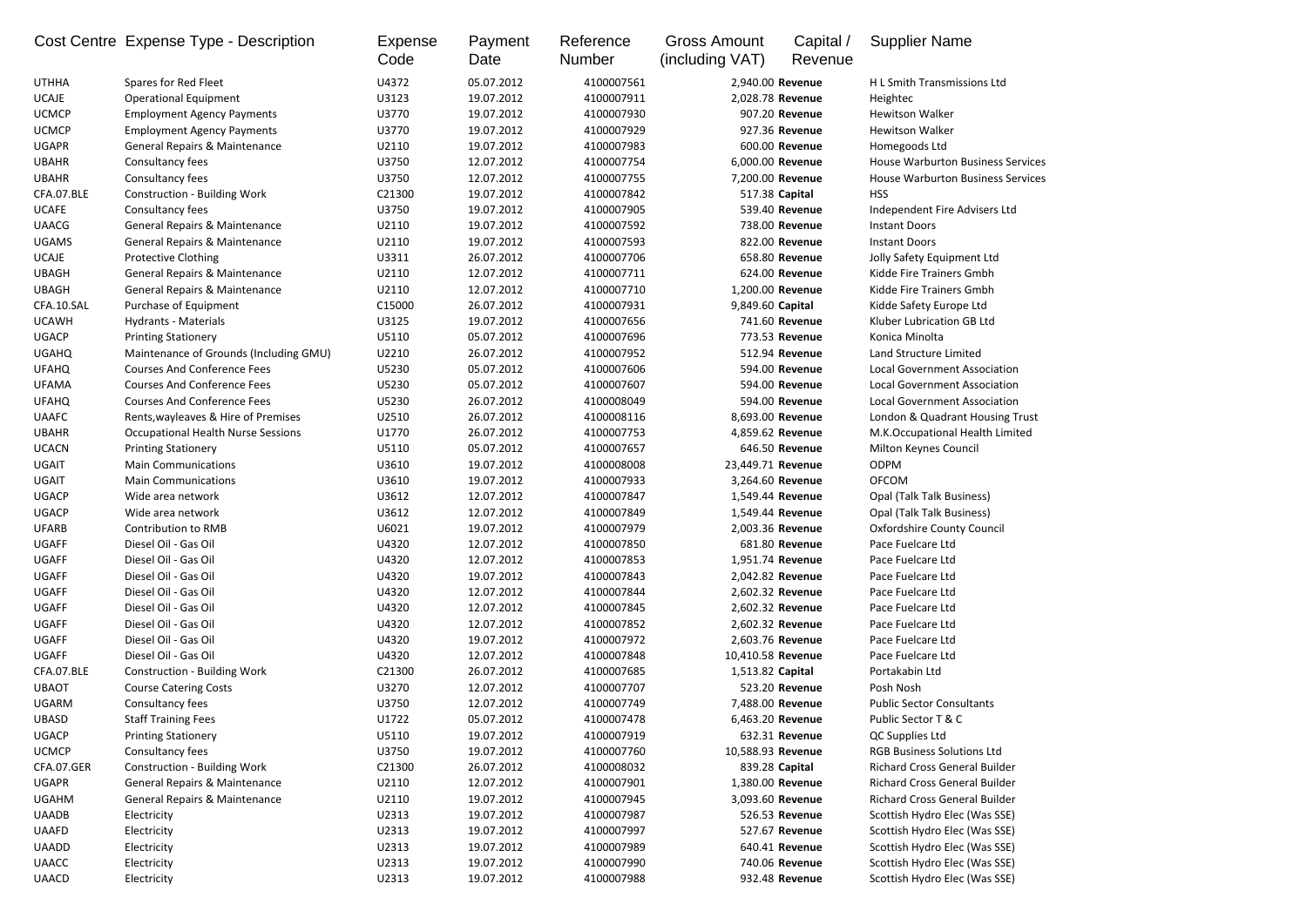|                              | Cost Centre Expense Type - Description    | Expense<br>Code | Payment<br>Date          | Reference<br><b>Number</b> | <b>Gross Amount</b><br>(including VAT) | Capital /<br>Revenue | <b>Supplier Name</b>                                                      |
|------------------------------|-------------------------------------------|-----------------|--------------------------|----------------------------|----------------------------------------|----------------------|---------------------------------------------------------------------------|
| <b>UTHHA</b>                 | Spares for Red Fleet                      | U4372           | 05.07.2012               | 4100007561                 | 2,940.00 Revenue                       |                      | H L Smith Transmissions Ltd                                               |
| <b>UCAJE</b>                 | <b>Operational Equipment</b>              | U3123           | 19.07.2012               | 4100007911                 | 2,028.78 Revenue                       |                      | Heightec                                                                  |
| <b>UCMCP</b>                 | <b>Employment Agency Payments</b>         | U3770           | 19.07.2012               | 4100007930                 |                                        | 907.20 Revenue       | <b>Hewitson Walker</b>                                                    |
| <b>UCMCP</b>                 | <b>Employment Agency Payments</b>         | U3770           | 19.07.2012               | 4100007929                 |                                        | 927.36 Revenue       | <b>Hewitson Walker</b>                                                    |
| <b>UGAPR</b>                 | <b>General Repairs &amp; Maintenance</b>  | U2110           | 19.07.2012               | 4100007983                 |                                        | 600.00 Revenue       | Homegoods Ltd                                                             |
| <b>UBAHR</b>                 | Consultancy fees                          | U3750           | 12.07.2012               | 4100007754                 | 6,000.00 Revenue                       |                      | <b>House Warburton Business Services</b>                                  |
| <b>UBAHR</b>                 | Consultancy fees                          | U3750           | 12.07.2012               | 4100007755                 | 7,200.00 Revenue                       |                      | <b>House Warburton Business Services</b>                                  |
| CFA.07.BLE                   | <b>Construction - Building Work</b>       | C21300          | 19.07.2012               | 4100007842                 | 517.38 Capital                         |                      | <b>HSS</b>                                                                |
| <b>UCAFE</b>                 | Consultancy fees                          | U3750           | 19.07.2012               | 4100007905                 |                                        | 539.40 Revenue       | Independent Fire Advisers Ltd                                             |
| <b>UAACG</b>                 | General Repairs & Maintenance             | U2110           | 19.07.2012               | 4100007592                 |                                        | 738.00 Revenue       | <b>Instant Doors</b>                                                      |
| <b>UGAMS</b>                 | <b>General Repairs &amp; Maintenance</b>  | U2110           | 19.07.2012               | 4100007593                 |                                        | 822.00 Revenue       | <b>Instant Doors</b>                                                      |
| <b>UCAJE</b>                 | <b>Protective Clothing</b>                | U3311           | 26.07.2012               | 4100007706                 |                                        | 658.80 Revenue       | Jolly Safety Equipment Ltd                                                |
| <b>UBAGH</b>                 | <b>General Repairs &amp; Maintenance</b>  | U2110           | 12.07.2012               | 4100007711                 |                                        | 624.00 Revenue       | Kidde Fire Trainers Gmbh                                                  |
| <b>UBAGH</b>                 | <b>General Repairs &amp; Maintenance</b>  | U2110           | 12.07.2012               | 4100007710                 | 1,200.00 Revenue                       |                      | Kidde Fire Trainers Gmbh                                                  |
| CFA.10.SAL                   | Purchase of Equipment                     | C15000          | 26.07.2012               | 4100007931                 | 9,849.60 Capital                       |                      | Kidde Safety Europe Ltd                                                   |
| <b>UCAWH</b>                 | Hydrants - Materials                      | U3125           | 19.07.2012               | 4100007656                 |                                        | 741.60 Revenue       | Kluber Lubrication GB Ltd                                                 |
| <b>UGACP</b>                 | <b>Printing Stationery</b>                | U5110           | 05.07.2012               | 4100007696                 |                                        | 773.53 Revenue       | Konica Minolta                                                            |
| <b>UGAHQ</b>                 | Maintenance of Grounds (Including GMU)    | U2210           | 26.07.2012               | 4100007952                 |                                        | 512.94 Revenue       | Land Structure Limited                                                    |
| <b>UFAHQ</b>                 | <b>Courses And Conference Fees</b>        | U5230           | 05.07.2012               | 4100007606                 |                                        | 594.00 Revenue       | Local Government Association                                              |
| <b>UFAMA</b>                 | <b>Courses And Conference Fees</b>        | U5230           | 05.07.2012               | 4100007607                 |                                        | 594.00 Revenue       | <b>Local Government Association</b>                                       |
| <b>UFAHQ</b>                 | <b>Courses And Conference Fees</b>        | U5230           | 26.07.2012               | 4100008049                 |                                        | 594.00 Revenue       | <b>Local Government Association</b>                                       |
| <b>UAAFC</b>                 | Rents, wayleaves & Hire of Premises       | U2510           | 26.07.2012               | 4100008116                 | 8,693.00 Revenue                       |                      | London & Quadrant Housing Trust                                           |
| <b>UBAHR</b>                 | <b>Occupational Health Nurse Sessions</b> | U1770           | 26.07.2012               | 4100007753                 | 4,859.62 Revenue                       |                      | M.K.Occupational Health Limited                                           |
| <b>UCACN</b>                 | <b>Printing Stationery</b>                | U5110           | 05.07.2012               | 4100007657                 |                                        | 646.50 Revenue       | Milton Keynes Council                                                     |
| <b>UGAIT</b>                 | <b>Main Communications</b>                | U3610           | 19.07.2012               | 4100008008                 | 23,449.71 Revenue                      |                      | <b>ODPM</b>                                                               |
| <b>UGAIT</b>                 | <b>Main Communications</b>                | U3610           | 19.07.2012               | 4100007933                 | 3,264.60 Revenue                       |                      | <b>OFCOM</b>                                                              |
| <b>UGACP</b>                 | Wide area network                         | U3612           | 12.07.2012               | 4100007847                 | 1,549.44 Revenue                       |                      | Opal (Talk Talk Business)                                                 |
| <b>UGACP</b>                 | Wide area network                         | U3612           | 12.07.2012               | 4100007849                 | 1,549.44 Revenue                       |                      | <b>Opal (Talk Talk Business)</b>                                          |
| <b>UFARB</b>                 | <b>Contribution to RMB</b>                | U6021           | 19.07.2012               | 4100007979                 | 2,003.36 Revenue                       |                      | <b>Oxfordshire County Council</b>                                         |
| <b>UGAFF</b>                 | Diesel Oil - Gas Oil                      | U4320           | 12.07.2012               | 4100007850                 |                                        | 681.80 Revenue       | Pace Fuelcare Ltd                                                         |
| <b>UGAFF</b>                 | Diesel Oil - Gas Oil                      | U4320           | 12.07.2012               | 4100007853                 | 1,951.74 Revenue                       |                      | Pace Fuelcare Ltd                                                         |
| <b>UGAFF</b>                 | Diesel Oil - Gas Oil                      | U4320           | 19.07.2012               | 4100007843                 | 2,042.82 Revenue                       |                      | Pace Fuelcare Ltd                                                         |
| <b>UGAFF</b>                 | Diesel Oil - Gas Oil                      | U4320           | 12.07.2012               | 4100007844                 | 2,602.32 Revenue                       |                      | Pace Fuelcare Ltd                                                         |
| <b>UGAFF</b>                 | Diesel Oil - Gas Oil                      | U4320           | 12.07.2012               | 4100007845                 | 2,602.32 Revenue                       |                      | Pace Fuelcare Ltd                                                         |
| <b>UGAFF</b>                 | Diesel Oil - Gas Oil                      | U4320           | 12.07.2012               | 4100007852                 | 2,602.32 Revenue                       |                      | Pace Fuelcare Ltd                                                         |
| <b>UGAFF</b>                 | Diesel Oil - Gas Oil                      | U4320           | 19.07.2012               | 4100007972                 | 2,603.76 Revenue                       |                      | Pace Fuelcare Ltd                                                         |
| <b>UGAFF</b>                 | Diesel Oil - Gas Oil                      | U4320           | 12.07.2012               | 4100007848                 | 10,410.58 Revenue                      |                      | Pace Fuelcare Ltd                                                         |
| CFA.07.BLE                   |                                           | C21300          | 26.07.2012               | 4100007685                 | 1,513.82 Capital                       |                      | Portakabin Ltd                                                            |
| <b>UBAOT</b>                 | <b>Construction - Building Work</b>       | U3270           | 12.07.2012               | 4100007707                 |                                        | 523.20 Revenue       | Posh Nosh                                                                 |
| <b>UGARM</b>                 | <b>Course Catering Costs</b>              |                 |                          |                            |                                        |                      |                                                                           |
|                              | Consultancy fees                          | U3750<br>U1722  | 12.07.2012<br>05.07.2012 | 4100007749                 | 7,488.00 Revenue                       |                      | <b>Public Sector Consultants</b><br>Public Sector T & C                   |
| <b>UBASD</b><br><b>UGACP</b> | <b>Staff Training Fees</b>                | U5110           | 19.07.2012               | 4100007478<br>4100007919   | 6,463.20 Revenue                       | 632.31 Revenue       |                                                                           |
|                              | <b>Printing Stationery</b>                |                 |                          |                            |                                        |                      | QC Supplies Ltd                                                           |
| <b>UCMCP</b>                 | Consultancy fees                          | U3750           | 19.07.2012               | 4100007760                 | 10,588.93 Revenue                      |                      | <b>RGB Business Solutions Ltd</b><br><b>Richard Cross General Builder</b> |
| CFA.07.GER                   | <b>Construction - Building Work</b>       | C21300          | 26.07.2012               | 4100008032                 | 839.28 Capital                         |                      |                                                                           |
| <b>UGAPR</b>                 | General Repairs & Maintenance             | U2110           | 12.07.2012               | 4100007901                 | 1,380.00 Revenue                       |                      | Richard Cross General Builder                                             |
| <b>UGAHM</b>                 | <b>General Repairs &amp; Maintenance</b>  | U2110           | 19.07.2012               | 4100007945                 | 3,093.60 Revenue                       |                      | <b>Richard Cross General Builder</b>                                      |
| <b>UAADB</b>                 | Electricity                               | U2313           | 19.07.2012               | 4100007987                 |                                        | 526.53 Revenue       | Scottish Hydro Elec (Was SSE)                                             |
| <b>UAAFD</b>                 | Electricity                               | U2313           | 19.07.2012               | 4100007997                 |                                        | 527.67 Revenue       | Scottish Hydro Elec (Was SSE)                                             |
| <b>UAADD</b>                 | Electricity                               | U2313           | 19.07.2012               | 4100007989                 |                                        | 640.41 Revenue       | Scottish Hydro Elec (Was SSE)                                             |
| <b>UAACC</b>                 | Electricity                               | U2313           | 19.07.2012               | 4100007990                 |                                        | 740.06 Revenue       | Scottish Hydro Elec (Was SSE)                                             |
| <b>UAACD</b>                 | Electricity                               | U2313           | 19.07.2012               | 4100007988                 |                                        | 932.48 Revenue       | Scottish Hydro Elec (Was SSE)                                             |